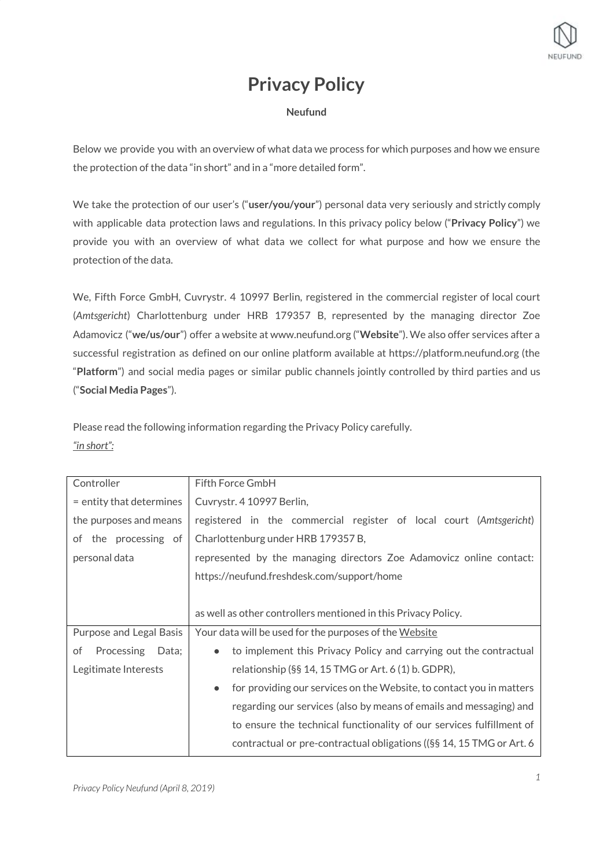

# **Privacy Policy**

## **Neufund**

Below we provide you with an overview of what data we process for which purposes and how we ensure the protection of the data "in short" and in a "more detailed form".

We take the protection of our user's ("**user/you/your**") personal data very seriously and strictly comply with applicable data protection laws and regulations. In this privacy policy below ("**Privacy Policy**") we provide you with an overview of what data we collect for what purpose and how we ensure the protection of the data.

We, Fifth Force GmbH, Cuvrystr. 4 10997 Berlin, registered in the commercial register of local court (*Amtsgericht*) Charlottenburg under HRB 179357 B, represented by the managing director Zoe Adamovicz ("**we/us/our**") offer a website at www.neufund.org ("**Website**"). We also offer services after a successful registration as defined on our online platform available at https://platform.neufund.org (the "**Platform**") and social media pages or similar public channels jointly controlled by third parties and us ("**Social Media Pages**").

Please read the following information regarding the Privacy Policy carefully. *"in short":*

| Controller                | Fifth Force GmbH                                                                  |
|---------------------------|-----------------------------------------------------------------------------------|
| = entity that determines  | Cuvrystr. 4 10997 Berlin,                                                         |
| the purposes and means    | registered in the commercial register of local court (Amtsgericht)                |
| of the processing of      | Charlottenburg under HRB 179357 B,                                                |
| personal data             | represented by the managing directors Zoe Adamovicz online contact:               |
|                           | https://neufund.freshdesk.com/support/home                                        |
|                           |                                                                                   |
|                           | as well as other controllers mentioned in this Privacy Policy.                    |
| Purpose and Legal Basis   | Your data will be used for the purposes of the Website                            |
| Processing<br>Data;<br>of | to implement this Privacy Policy and carrying out the contractual<br>$\bullet$    |
| Legitimate Interests      | relationship (§§ 14, 15 TMG or Art. 6 (1) b. GDPR),                               |
|                           | for providing our services on the Website, to contact you in matters<br>$\bullet$ |
|                           | regarding our services (also by means of emails and messaging) and                |
|                           | to ensure the technical functionality of our services fulfillment of              |
|                           | contractual or pre-contractual obligations ((§§ 14, 15 TMG or Art. 6              |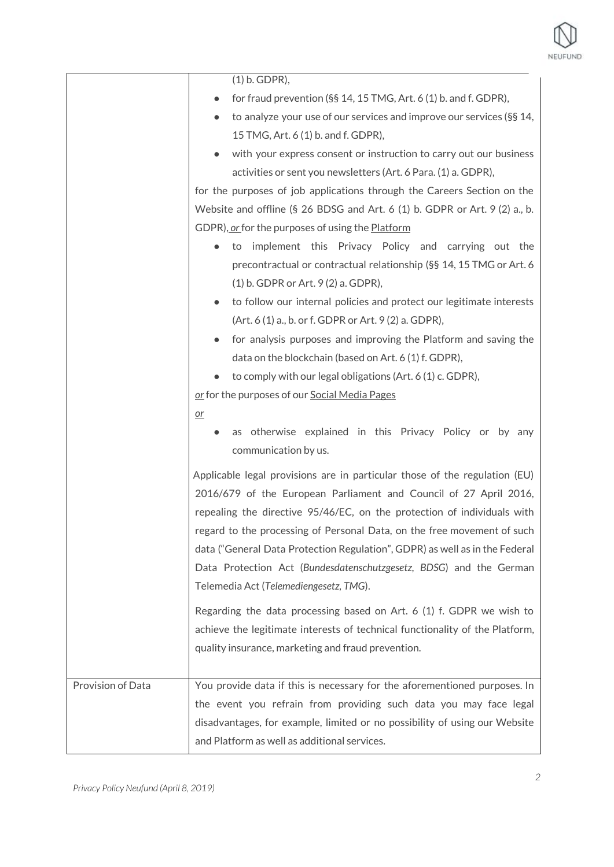

|                   | $(1)$ b. GDPR),                                                              |
|-------------------|------------------------------------------------------------------------------|
|                   | for fraud prevention (§§ 14, 15 TMG, Art. 6 (1) b. and f. GDPR),             |
|                   | to analyze your use of our services and improve our services (§§ 14,         |
|                   | 15 TMG, Art. 6 (1) b. and f. GDPR),                                          |
|                   | with your express consent or instruction to carry out our business           |
|                   | activities or sent you newsletters (Art. 6 Para. (1) a. GDPR),               |
|                   | for the purposes of job applications through the Careers Section on the      |
|                   | Website and offline (§ 26 BDSG and Art. 6 (1) b. GDPR or Art. 9 (2) a., b.   |
|                   | GDPR), or for the purposes of using the <b>Platform</b>                      |
|                   | to implement this Privacy Policy and carrying out the                        |
|                   | precontractual or contractual relationship (§§ 14, 15 TMG or Art. 6          |
|                   | $(1)$ b. GDPR or Art. 9 $(2)$ a. GDPR),                                      |
|                   | to follow our internal policies and protect our legitimate interests         |
|                   | (Art. 6 (1) a., b. or f. GDPR or Art. 9 (2) a. GDPR),                        |
|                   | for analysis purposes and improving the Platform and saving the              |
|                   | data on the blockchain (based on Art. 6 (1) f. GDPR),                        |
|                   | to comply with our legal obligations (Art. 6 (1) c. GDPR),                   |
|                   | or for the purposes of our Social Media Pages                                |
|                   | $or$                                                                         |
|                   | as otherwise explained in this Privacy Policy or by any                      |
|                   | communication by us.                                                         |
|                   | Applicable legal provisions are in particular those of the regulation (EU)   |
|                   | 2016/679 of the European Parliament and Council of 27 April 2016,            |
|                   | repealing the directive 95/46/EC, on the protection of individuals with      |
|                   | regard to the processing of Personal Data, on the free movement of such      |
|                   | data ("General Data Protection Regulation", GDPR) as well as in the Federal  |
|                   | Data Protection Act (Bundesdatenschutzgesetz, BDSG) and the German           |
|                   | Telemedia Act (Telemediengesetz, TMG).                                       |
|                   | Regarding the data processing based on Art. 6 (1) f. GDPR we wish to         |
|                   | achieve the legitimate interests of technical functionality of the Platform, |
|                   | quality insurance, marketing and fraud prevention.                           |
|                   |                                                                              |
| Provision of Data | You provide data if this is necessary for the aforementioned purposes. In    |
|                   | the event you refrain from providing such data you may face legal            |
|                   | disadvantages, for example, limited or no possibility of using our Website   |
|                   | and Platform as well as additional services.                                 |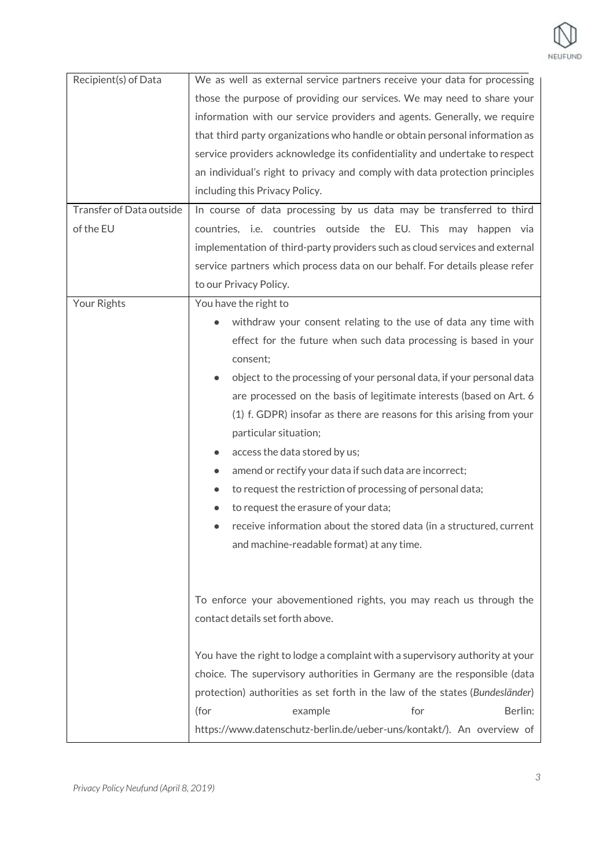| Recipient(s) of Data     | We as well as external service partners receive your data for processing     |
|--------------------------|------------------------------------------------------------------------------|
|                          | those the purpose of providing our services. We may need to share your       |
|                          | information with our service providers and agents. Generally, we require     |
|                          | that third party organizations who handle or obtain personal information as  |
|                          | service providers acknowledge its confidentiality and undertake to respect   |
|                          | an individual's right to privacy and comply with data protection principles  |
|                          | including this Privacy Policy.                                               |
| Transfer of Data outside | In course of data processing by us data may be transferred to third          |
| of the EU                | countries, i.e. countries outside the EU. This may happen via                |
|                          | implementation of third-party providers such as cloud services and external  |
|                          | service partners which process data on our behalf. For details please refer  |
|                          | to our Privacy Policy.                                                       |
| Your Rights              | You have the right to                                                        |
|                          | withdraw your consent relating to the use of data any time with              |
|                          | effect for the future when such data processing is based in your             |
|                          | consent;                                                                     |
|                          | object to the processing of your personal data, if your personal data        |
|                          | are processed on the basis of legitimate interests (based on Art. 6          |
|                          | (1) f. GDPR) insofar as there are reasons for this arising from your         |
|                          | particular situation;                                                        |
|                          | access the data stored by us;                                                |
|                          | amend or rectify your data if such data are incorrect;                       |
|                          | to request the restriction of processing of personal data;                   |
|                          | to request the erasure of your data;                                         |
|                          | receive information about the stored data (in a structured, current          |
|                          | and machine-readable format) at any time.                                    |
|                          |                                                                              |
|                          |                                                                              |
|                          | To enforce your abovementioned rights, you may reach us through the          |
|                          | contact details set forth above.                                             |
|                          |                                                                              |
|                          | You have the right to lodge a complaint with a supervisory authority at your |
|                          | choice. The supervisory authorities in Germany are the responsible (data     |
|                          | protection) authorities as set forth in the law of the states (Bundesländer) |
|                          | Berlin:<br>(for<br>example<br>for                                            |
|                          | https://www.datenschutz-berlin.de/ueber-uns/kontakt/). An overview of        |
|                          |                                                                              |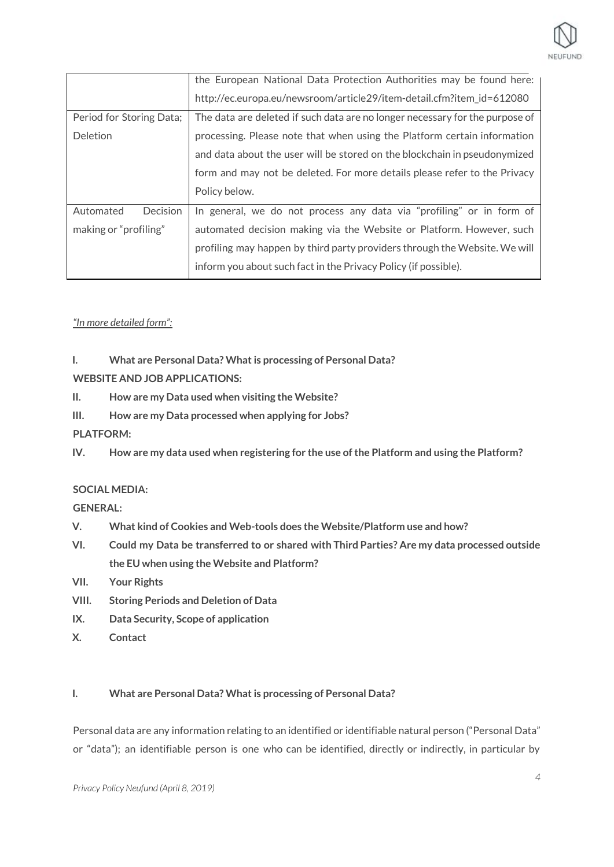

|                          | the European National Data Protection Authorities may be found here:         |
|--------------------------|------------------------------------------------------------------------------|
|                          | http://ec.europa.eu/newsroom/article29/item-detail.cfm?item_id=612080        |
| Period for Storing Data; | The data are deleted if such data are no longer necessary for the purpose of |
| Deletion                 | processing. Please note that when using the Platform certain information     |
|                          | and data about the user will be stored on the blockchain in pseudonymized    |
|                          | form and may not be deleted. For more details please refer to the Privacy    |
|                          | Policy below.                                                                |
| Decision<br>Automated    | In general, we do not process any data via "profiling" or in form of         |
| making or "profiling"    | automated decision making via the Website or Platform. However, such         |
|                          | profiling may happen by third party providers through the Website. We will   |
|                          | inform you about such fact in the Privacy Policy (if possible).              |

## *"In more detailed form":*

## **I. What are Personal Data? Whatis processing of Personal Data?**

**WEBSITE AND JOB APPLICATIONS:**

- **II. How are my Data used when visiting the Website?**
- **III. How are my Data processed when applying for Jobs?**

## **PLATFORM:**

**IV. How are my data used when registering for the use ofthe Platform and using the Platform?**

## **SOCIAL MEDIA:**

**GENERAL:**

- **V. What kind of Cookies and Web-tools does the Website/Platform use and how?**
- **VI. Could my Data be transferred to or shared with Third Parties? Are my data processed outside the EU when using the Website and Platform?**
- **VII. Your Rights**
- **VIII. Storing Periods and Deletion of Data**
- **IX. Data Security, Scope of application**
- **X. Contact**

## **I. What are Personal Data? Whatis processing of Personal Data?**

Personal data are any information relating to an identified or identifiable natural person ("Personal Data" or "data"); an identifiable person is one who can be identified, directly or indirectly, in particular by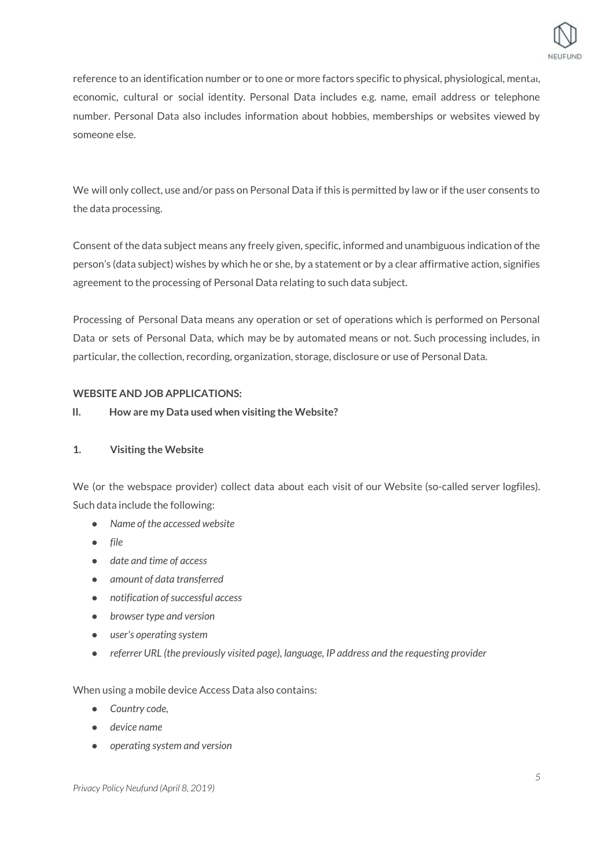

reference to an identification number or to one or more factors specific to physical, physiological, mental, economic, cultural or social identity. Personal Data includes e.g. name, email address or telephone number. Personal Data also includes information about hobbies, memberships or websites viewed by someone else.

We will only collect, use and/or pass on Personal Data if this is permitted by law or if the user consents to the data processing.

Consent of the data subject means any freely given, specific, informed and unambiguous indication of the person's (data subject) wishes by which he or she, by a statement or by a clear affirmative action, signifies agreement to the processing of Personal Data relating to such data subject.

Processing of Personal Data means any operation or set of operations which is performed on Personal Data or sets of Personal Data, which may be by automated means or not. Such processing includes, in particular, the collection, recording, organization, storage, disclosure or use of Personal Data.

## **WEBSITE AND JOB APPLICATIONS:**

## **II. How are my Data used when visiting the Website?**

## **1. Visiting the Website**

We (or the webspace provider) collect data about each visit of our Website (so-called server logfiles). Such data include the following:

- *● Name of the accessed website*
- *● file*
- *● date and time of access*
- *● amount of data transferred*
- *● notification ofsuccessful access*
- *● browser type and version*
- *● user's operating system*
- *● referrer URL (the previously visited page), language, IP address and the requesting provider*

When using a mobile device Access Data also contains:

- *Country code,*
- *device name*
- *operating system and version*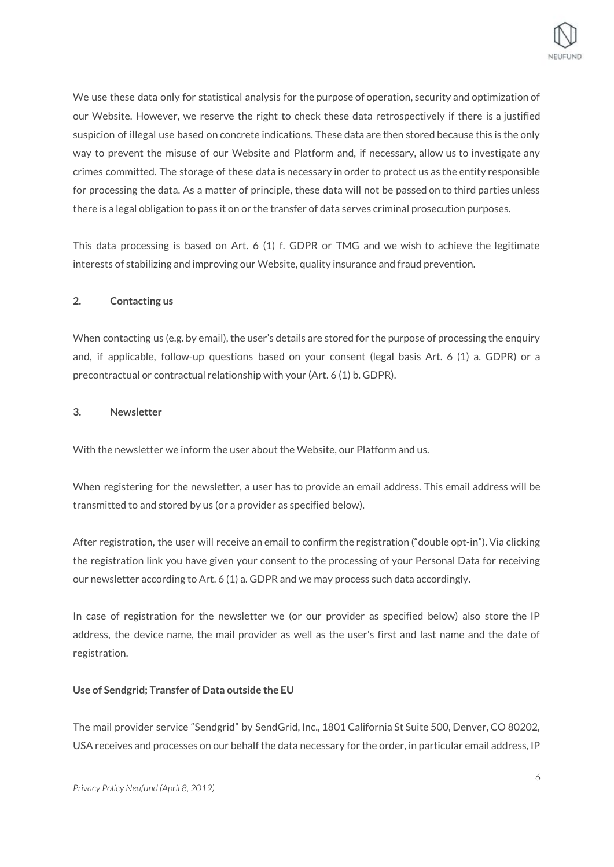

We use these data only for statistical analysis for the purpose of operation, security and optimization of our Website. However, we reserve the right to check these data retrospectively if there is a justified suspicion of illegal use based on concrete indications. These data are then stored because this is the only way to prevent the misuse of our Website and Platform and, if necessary, allow us to investigate any crimes committed. The storage of these data is necessary in order to protect us as the entity responsible for processing the data. As a matter of principle, these data will not be passed on to third parties unless there is a legal obligation to pass it on or the transfer of data serves criminal prosecution purposes.

This data processing is based on Art. 6 (1) f. GDPR or TMG and we wish to achieve the legitimate interests of stabilizing and improving our Website, quality insurance and fraud prevention.

## **2. Contacting us**

When contacting us (e.g. by email), the user's details are stored for the purpose of processing the enquiry and, if applicable, follow-up questions based on your consent (legal basis Art. 6 (1) a. GDPR) or a precontractual or contractual relationship with your (Art. 6 (1) b. GDPR).

## **3. Newsletter**

With the newsletter we inform the user about the Website, our Platform and us.

When registering for the newsletter, a user has to provide an email address. This email address will be transmitted to and stored by us (or a provider as specified below).

After registration, the user will receive an email to confirm the registration ("double opt-in"). Via clicking the registration link you have given your consent to the processing of your Personal Data for receiving our newsletter according to Art. 6 (1) a. GDPR and we may process such data accordingly.

In case of registration for the newsletter we (or our provider as specified below) also store the IP address, the device name, the mail provider as well as the user's first and last name and the date of registration.

## **Use of Sendgrid; Transfer of Data outside the EU**

The mail provider service "Sendgrid" by SendGrid, Inc., 1801 California St Suite 500, Denver, CO 80202, USA receives and processes on our behalf the data necessary for the order, in particular email address, IP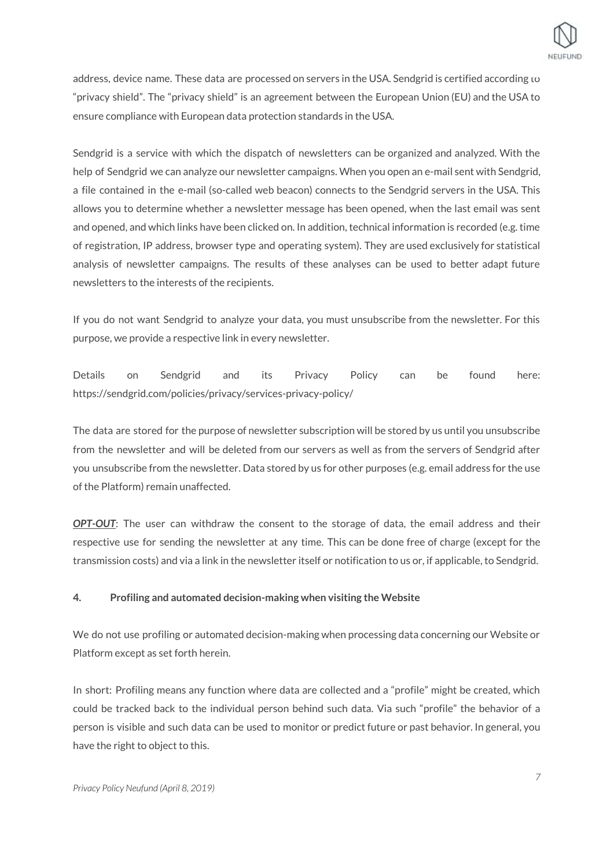

address, device name. These data are processed on servers in the USA. Sendgrid is certified according to "privacy shield". The "privacy shield" is an agreement between the European Union (EU) and the USA to ensure compliance with European data protection standards in the USA.

Sendgrid is a service with which the dispatch of newsletters can be organized and analyzed. With the help of Sendgrid we can analyze our newsletter campaigns. When you open an e-mail sent with Sendgrid, a file contained in the e-mail (so-called web beacon) connects to the Sendgrid servers in the USA. This allows you to determine whether a newsletter message has been opened, when the last email was sent and opened, and which links have been clicked on. In addition, technical information is recorded (e.g. time of registration, IP address, browser type and operating system). They are used exclusively for statistical analysis of newsletter campaigns. The results of these analyses can be used to better adapt future newsletters to the interests of the recipients.

If you do not want Sendgrid to analyze your data, you must unsubscribe from the newsletter. For this purpose, we provide a respective link in every newsletter.

Details on Sendgrid and its Privacy Policy can be found here: https://sendgrid.com/policies/privacy/services-privacy-policy/

The data are stored for the purpose of newsletter subscription will be stored by us until you unsubscribe from the newsletter and will be deleted from our servers as well as from the servers of Sendgrid after you unsubscribe from the newsletter. Data stored by us for other purposes (e.g. email address for the use of the Platform) remain unaffected.

*OPT-OUT*: The user can withdraw the consent to the storage of data, the email address and their respective use for sending the newsletter at any time. This can be done free of charge (except for the transmission costs) and via a link in the newsletter itself or notification to us or, if applicable, to Sendgrid.

## **4. Profiling and automated decision-making when visiting the Website**

We do not use profiling or automated decision-making when processing data concerning our Website or Platform except as set forth herein.

In short: Profiling means any function where data are collected and a "profile" might be created, which could be tracked back to the individual person behind such data. Via such "profile" the behavior of a person is visible and such data can be used to monitor or predict future or past behavior. In general, you have the right to object to this.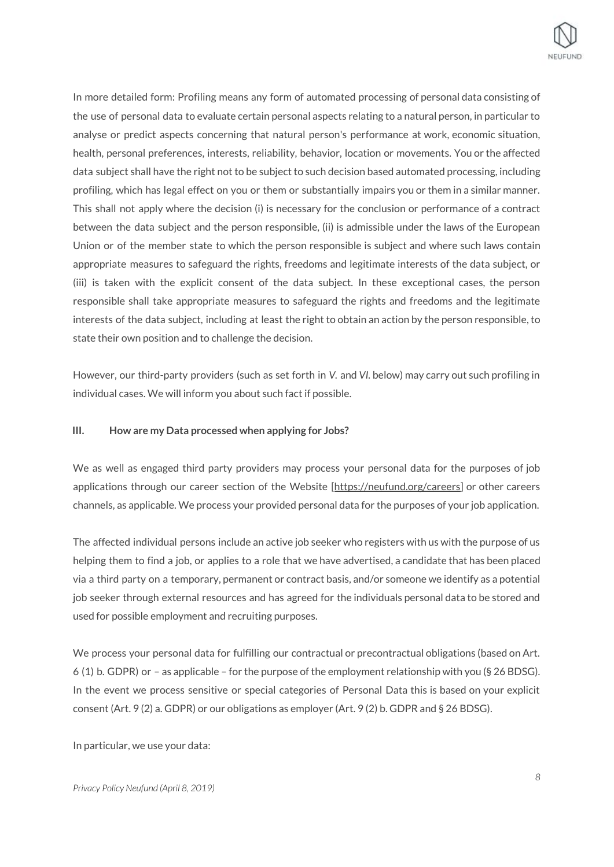

In more detailed form: Profiling means any form of automated processing of personal data consisting of the use of personal data to evaluate certain personal aspects relating to a natural person, in particular to analyse or predict aspects concerning that natural person's performance at work, economic situation, health, personal preferences, interests, reliability, behavior, location or movements. You or the affected data subject shall have the right not to be subject to such decision based automated processing, including profiling, which has legal effect on you or them or substantially impairs you or them in a similar manner. This shall not apply where the decision (i) is necessary for the conclusion or performance of a contract between the data subject and the person responsible, (ii) is admissible under the laws of the European Union or of the member state to which the person responsible is subject and where such laws contain appropriate measures to safeguard the rights, freedoms and legitimate interests of the data subject, or (iii) is taken with the explicit consent of the data subject. In these exceptional cases, the person responsible shall take appropriate measures to safeguard the rights and freedoms and the legitimate interests of the data subject, including at least the right to obtain an action by the person responsible, to state their own position and to challenge the decision.

However, our third-party providers (such as set forth in *V.* and *VI.* below) may carry out such profiling in individual cases. We will inform you about such fact if possible.

## **III. How are my Data processed when applying for Jobs?**

We as well as engaged third party providers may process your personal data for the purposes of job applications through our career section of the Website [<https://neufund.org/careers>] or other careers channels, as applicable. We process your provided personal data for the purposes of your job application.

The affected individual persons include an active job seeker who registers with us with the purpose of us helping them to find a job, or applies to a role that we have advertised, a candidate that has been placed via a third party on a temporary, permanent or contract basis, and/or someone we identify as a potential job seeker through external resources and has agreed for the individuals personal data to be stored and used for possible employment and recruiting purposes.

We process your personal data for fulfilling our contractual or precontractual obligations (based on Art. 6 (1) b. GDPR) or – as applicable – for the purpose of the employment relationship with you (§ 26 BDSG). In the event we process sensitive or special categories of Personal Data this is based on your explicit consent (Art. 9 (2) a. GDPR) or our obligations as employer (Art. 9 (2) b. GDPR and § 26 BDSG).

In particular, we use your data: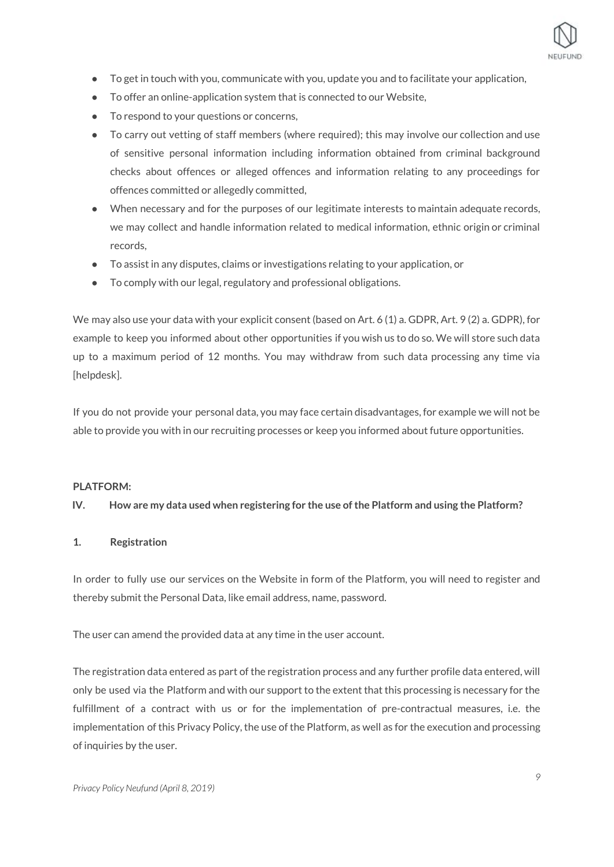

- To get in touch with you, communicate with you, update you and to facilitate your application,
- To offer an online-application system that is connected to our Website,
- To respond to your questions or concerns,
- To carry out vetting of staff members (where required); this may involve our collection and use of sensitive personal information including information obtained from criminal background checks about offences or alleged offences and information relating to any proceedings for offences committed or allegedly committed,
- When necessary and for the purposes of our legitimate interests to maintain adequate records, we may collect and handle information related to medical information, ethnic origin or criminal records,
- To assist in any disputes, claims or investigations relating to your application, or
- To comply with our legal, regulatory and professional obligations.

We may also use your data with your explicit consent (based on Art. 6 (1) a. GDPR, Art. 9 (2) a. GDPR), for example to keep you informed about other opportunities if you wish us to do so. We will store such data up to a maximum period of 12 months. You may withdraw from such data processing any time via [helpdesk].

If you do not provide your personal data, you may face certain disadvantages, for example we will not be able to provide you with in our recruiting processes or keep you informed about future opportunities.

## **PLATFORM:**

#### **IV. How are my data used when registering for the use ofthe Platform and using the Platform?**

## **1. Registration**

In order to fully use our services on the Website in form of the Platform, you will need to register and thereby submit the Personal Data, like email address, name, password.

The user can amend the provided data at any time in the user account.

The registration data entered as part of the registration process and any further profile data entered, will only be used via the Platform and with our support to the extent that this processing is necessary for the fulfillment of a contract with us or for the implementation of pre-contractual measures, i.e. the implementation of this Privacy Policy, the use of the Platform, as well as for the execution and processing of inquiries by the user.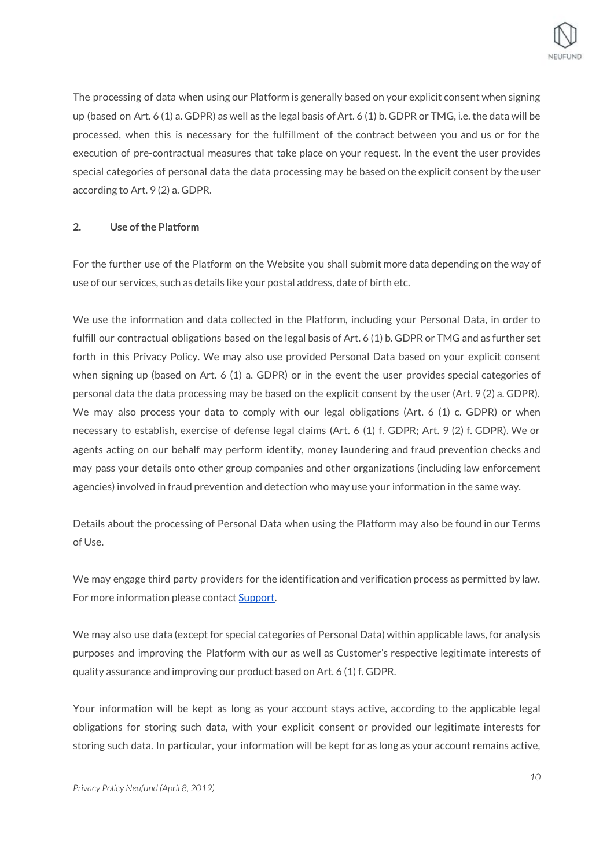

The processing of data when using our Platform is generally based on your explicit consent when signing up (based on Art. 6 (1) a. GDPR) as well as the legal basis of Art. 6 (1) b. GDPR or TMG, i.e. the data will be processed, when this is necessary for the fulfillment of the contract between you and us or for the execution of pre-contractual measures that take place on your request. In the event the user provides special categories of personal data the data processing may be based on the explicit consent by the user according to Art. 9 (2) a. GDPR.

## **2. Use ofthe Platform**

For the further use of the Platform on the Website you shall submit more data depending on the way of use of our services, such as details like your postal address, date of birth etc.

We use the information and data collected in the Platform, including your Personal Data, in order to fulfill our contractual obligations based on the legal basis of Art. 6 (1) b. GDPR or TMG and as further set forth in this Privacy Policy. We may also use provided Personal Data based on your explicit consent when signing up (based on Art. 6 (1) a. GDPR) or in the event the user provides special categories of personal data the data processing may be based on the explicit consent by the user (Art. 9 (2) a. GDPR). We may also process your data to comply with our legal obligations (Art. 6 (1) c. GDPR) or when necessary to establish, exercise of defense legal claims (Art. 6 (1) f. GDPR; Art. 9 (2) f. GDPR). We or agents acting on our behalf may perform identity, money laundering and fraud prevention checks and may pass your details onto other group companies and other organizations (including law enforcement agencies) involved in fraud prevention and detection who may use your information in the same way.

Details about the processing of Personal Data when using the Platform may also be found in our Terms of Use.

We may engage third party providers for the identification and verification process as permitted by law. For more information please contact **Support**.

We may also use data (except for special categories of Personal Data) within applicable laws, for analysis purposes and improving the Platform with our as well as Customer's respective legitimate interests of quality assurance and improving our product based on Art. 6 (1) f. GDPR.

Your information will be kept as long as your account stays active, according to the applicable legal obligations for storing such data, with your explicit consent or provided our legitimate interests for storing such data. In particular, your information will be kept for as long as your account remains active,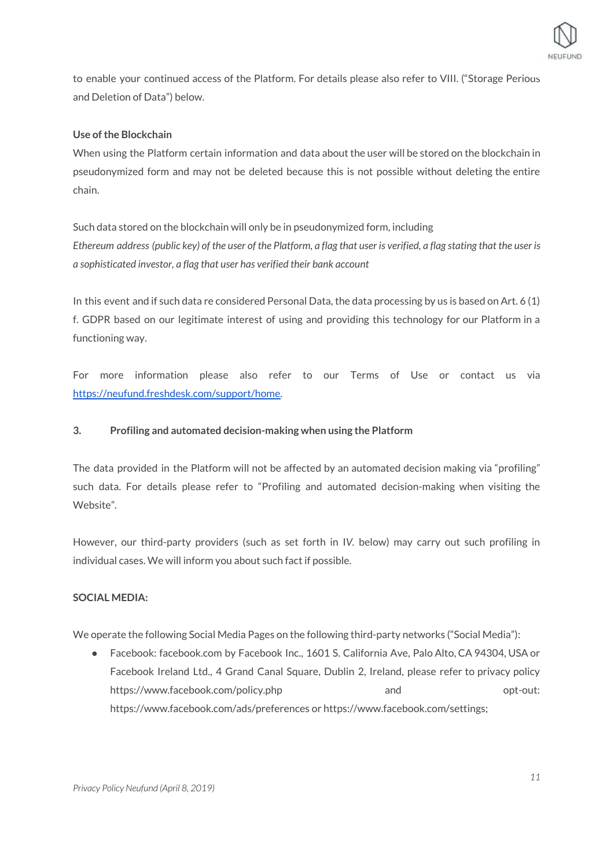

to enable your continued access of the Platform. For details please also refer to VIII. ("Storage Periods and Deletion of Data") below.

## **Use of the Blockchain**

When using the Platform certain information and data about the user will be stored on the blockchain in pseudonymized form and may not be deleted because this is not possible without deleting the entire chain.

Such data stored on the blockchain will only be in pseudonymized form, including Ethereum address (public key) of the user of the Platform, a flag that user is verified, a flag stating that the user is *a sophisticated investor, a flag that user has verified their bank account*

In this event and if such data re considered Personal Data, the data processing by us is based on Art. 6 (1) f. GDPR based on our legitimate interest of using and providing this technology for our Platform in a functioning way.

For more information please also refer to our Terms of Use or contact us via <https://neufund.freshdesk.com/support/home>.

## **3. Profiling and automated decision-making when using the Platform**

The data provided in the Platform will not be affected by an automated decision making via "profiling" such data. For details please refer to "Profiling and automated decision-making when visiting the Website"*.*

However, our third-party providers (such as set forth in I*V.* below) may carry out such profiling in individual cases. We will inform you about such fact if possible.

## **SOCIAL MEDIA:**

We operate the following Social Media Pages on the following third-party networks ("Social Media"):

● Facebook: facebook.com by Facebook Inc., 1601 S. California Ave, Palo Alto, CA 94304, USA or Facebook Ireland Ltd., 4 Grand Canal Square, Dublin 2, Ireland, please refer to privacy policy https://www.facebook.com/policy.php and and opt-out: https://www.facebook.com/ads/preferences or https://www.facebook.com/settings;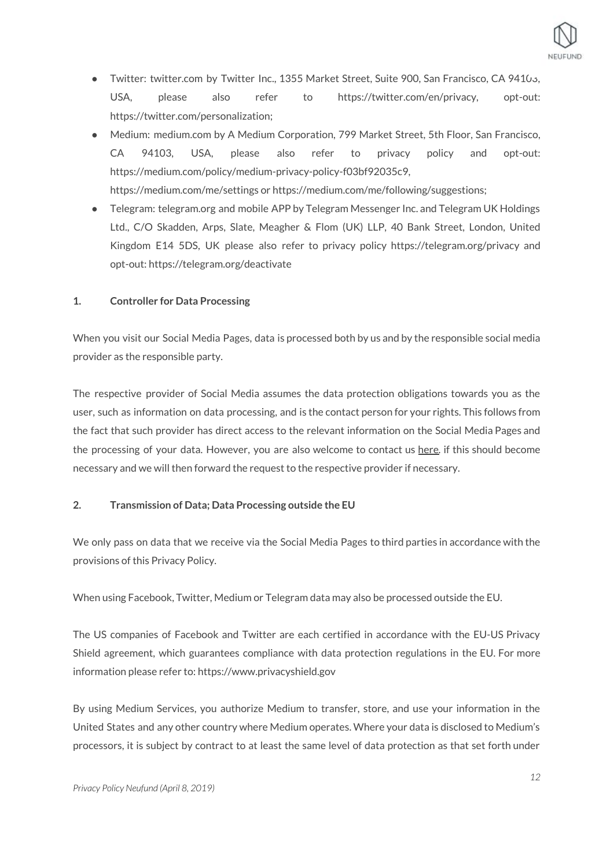

- Twitter: twitter.com by Twitter Inc., 1355 Market Street, Suite 900, San Francisco, CA 94103, USA, please also refer to https://twitter.com/en/privacy, opt-out: https://twitter.com/personalization;
- Medium: medium.com by A Medium Corporation, 799 Market Street, 5th Floor, San Francisco, CA 94103, USA, please also refer to privacy policy and opt-out: https://medium.com/policy/medium-privacy-policy-f03bf92035c9, https://medium.com/me/settings or https://medium.com/me/following/suggestions;
- Telegram: telegram.org and mobile APP by Telegram Messenger Inc. and Telegram UK Holdings Ltd., C/O Skadden, Arps, Slate, Meagher & Flom (UK) LLP, 40 Bank Street, London, United Kingdom E14 5DS, UK please also refer to privacy policy https://telegram.org/privacy and opt-out: https://telegram.org/deactivate

## **1. Controller for Data Processing**

When you visit our Social Media Pages, data is processed both by us and by the responsible social media provider as the responsible party.

The respective provider of Social Media assumes the data protection obligations towards you as the user, such as information on data processing, and is the contact person for your rights. This follows from the fact that such provider has direct access to the relevant information on the Social Media Pages and the processing of your data. However, you are also welcome to contact us [here](https://neufund.org/imprint)*.* if this should become necessary and we will then forward the request to the respective provider if necessary.

## **2. Transmission of Data; Data Processing outside the EU**

We only pass on data that we receive via the Social Media Pages to third parties in accordance with the provisions of this Privacy Policy.

When using Facebook, Twitter, Medium or Telegram data may also be processed outside the EU.

The US companies of Facebook and Twitter are each certified in accordance with the EU-US Privacy Shield agreement, which guarantees compliance with data protection regulations in the EU. For more information please refer to: https://www.privacyshield.gov

By using Medium Services, you authorize Medium to transfer, store, and use your information in the United States and any other country where Medium operates. Where your data is disclosed to Medium's processors, it is subject by contract to at least the same level of data protection as that set forth under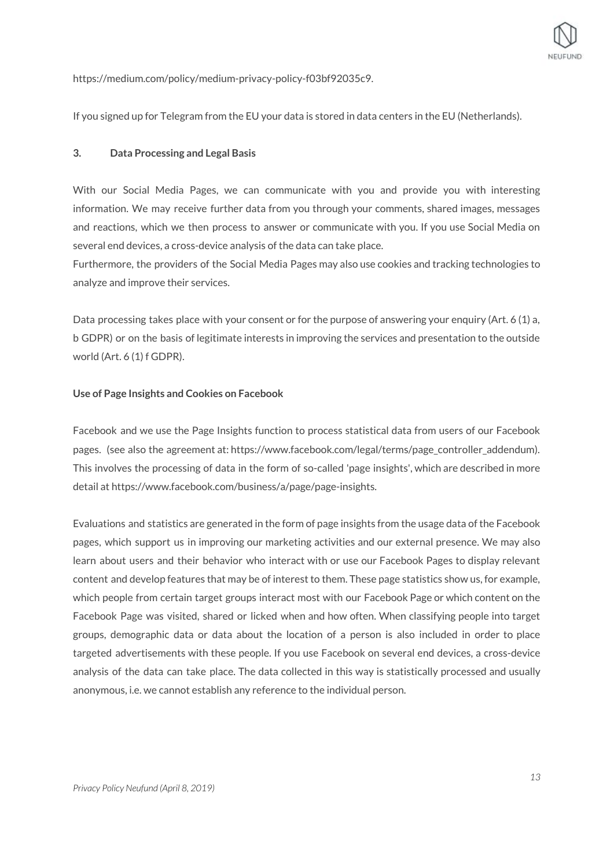

https://medium.com/policy/medium-privacy-policy-f03bf92035c9.

If you signed up for Telegram from the EU your data is stored in data centers in the EU (Netherlands).

#### **3. Data Processing and Legal Basis**

With our Social Media Pages, we can communicate with you and provide you with interesting information. We may receive further data from you through your comments, shared images, messages and reactions, which we then process to answer or communicate with you. If you use Social Media on several end devices, a cross-device analysis of the data can take place.

Furthermore, the providers of the Social Media Pages may also use cookies and tracking technologies to analyze and improve their services.

Data processing takes place with your consent or for the purpose of answering your enquiry (Art. 6 (1) a, b GDPR) or on the basis of legitimate interests in improving the services and presentation to the outside world (Art. 6 (1) f GDPR).

#### **Use of Page Insights and Cookies on Facebook**

Facebook and we use the Page Insights function to process statistical data from users of our Facebook pages. (see also the agreement at: https://www.facebook.com/legal/terms/page\_controller\_addendum). This involves the processing of data in the form of so-called 'page insights', which are described in more detail at https://www.facebook.com/business/a/page/page-insights.

Evaluations and statistics are generated in the form of page insights from the usage data of the Facebook pages, which support us in improving our marketing activities and our external presence. We may also learn about users and their behavior who interact with or use our Facebook Pages to display relevant content and develop features that may be of interest to them. These page statistics show us, for example, which people from certain target groups interact most with our Facebook Page or which content on the Facebook Page was visited, shared or licked when and how often. When classifying people into target groups, demographic data or data about the location of a person is also included in order to place targeted advertisements with these people. If you use Facebook on several end devices, a cross-device analysis of the data can take place. The data collected in this way is statistically processed and usually anonymous, i.e. we cannot establish any reference to the individual person.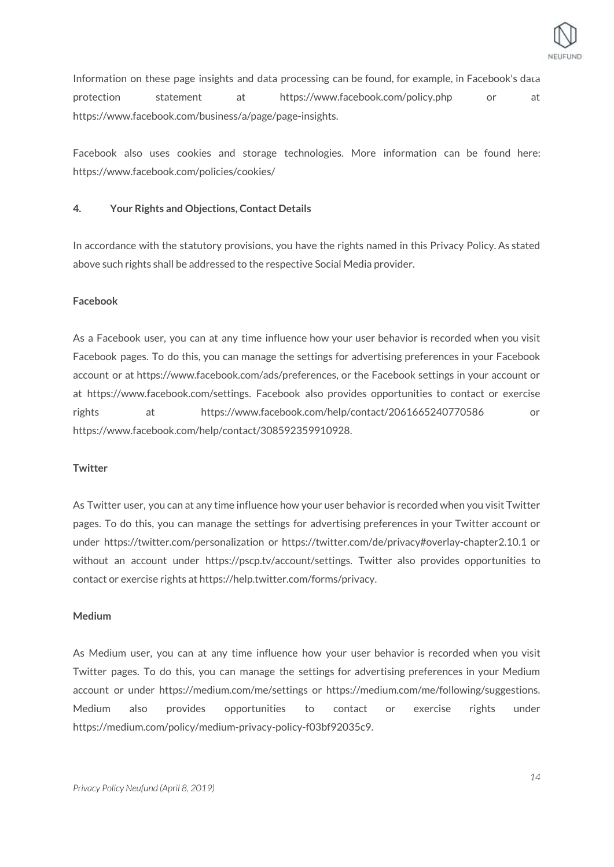

Information on these page insights and data processing can be found, for example, in Facebook's data protection statement at https://www.facebook.com/policy.php or at https://www.facebook.com/business/a/page/page-insights.

Facebook also uses cookies and storage technologies. More information can be found here: https://www.facebook.com/policies/cookies/

## **4. Your Rights and Objections, Contact Details**

In accordance with the statutory provisions, you have the rights named in this Privacy Policy. As stated above such rights shall be addressed to the respective Social Media provider.

#### **Facebook**

As a Facebook user, you can at any time influence how your user behavior is recorded when you visit Facebook pages. To do this, you can manage the settings for advertising preferences in your Facebook account or at https://www.facebook.com/ads/preferences, or the Facebook settings in your account or at https://www.facebook.com/settings. Facebook also provides opportunities to contact or exercise rights at https://www.facebook.com/help/contact/2061665240770586 or https://www.facebook.com/help/contact/308592359910928.

#### **Twitter**

As Twitter user, you can at any time influence how your user behavior is recorded when you visit Twitter pages. To do this, you can manage the settings for advertising preferences in your Twitter account or under https://twitter.com/personalization or https://twitter.com/de/privacy#overlay-chapter2.10.1 or without an account under https://pscp.tv/account/settings. Twitter also provides opportunities to contact or exercise rights at https://help.twitter.com/forms/privacy.

#### **Medium**

As Medium user, you can at any time influence how your user behavior is recorded when you visit Twitter pages. To do this, you can manage the settings for advertising preferences in your Medium account or under https://medium.com/me/settings or https://medium.com/me/following/suggestions. Medium also provides opportunities to contact or exercise rights under https://medium.com/policy/medium-privacy-policy-f03bf92035c9.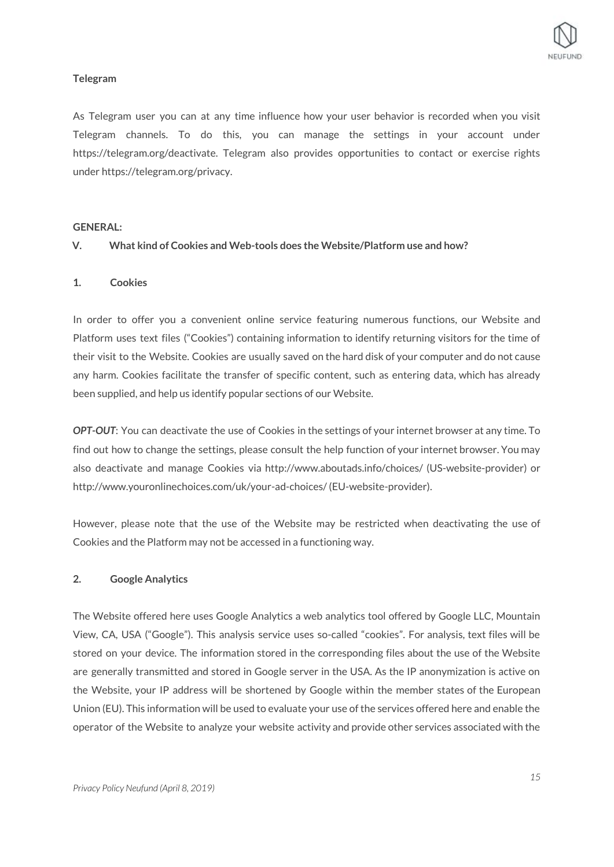## **Telegram**

As Telegram user you can at any time influence how your user behavior is recorded when you visit Telegram channels. To do this, you can manage the settings in your account under https://telegram.org/deactivate. Telegram also provides opportunities to contact or exercise rights under https://telegram.org/privacy.

## **GENERAL:**

## **V. What kind of Cookies and Web-tools does the Website/Platform use and how?**

## **1. Cookies**

In order to offer you a convenient online service featuring numerous functions, our Website and Platform uses text files ("Cookies") containing information to identify returning visitors for the time of their visit to the Website. Cookies are usually saved on the hard disk of your computer and do not cause any harm. Cookies facilitate the transfer of specific content, such as entering data, which has already been supplied, and help us identify popular sections of our Website.

*OPT-OUT*: You can deactivate the use of Cookies in the settings of your internet browser at any time. To find out how to change the settings, please consult the help function of your internet browser. You may also deactivate and manage Cookies via http://www.aboutads.info/choices/ (US-website-provider) or http://www.youronlinechoices.com/uk/your-ad-choices/ (EU-website-provider).

However, please note that the use of the Website may be restricted when deactivating the use of Cookies and the Platform may not be accessed in a functioning way.

## **2. Google Analytics**

The Website offered here uses Google Analytics a web analytics tool offered by Google LLC, Mountain View, CA, USA ("Google"). This analysis service uses so-called "cookies". For analysis, text files will be stored on your device. The information stored in the corresponding files about the use of the Website are generally transmitted and stored in Google server in the USA. As the IP anonymization is active on the Website, your IP address will be shortened by Google within the member states of the European Union (EU). This information will be used to evaluate your use of the services offered here and enable the operator of the Website to analyze your website activity and provide other services associated with the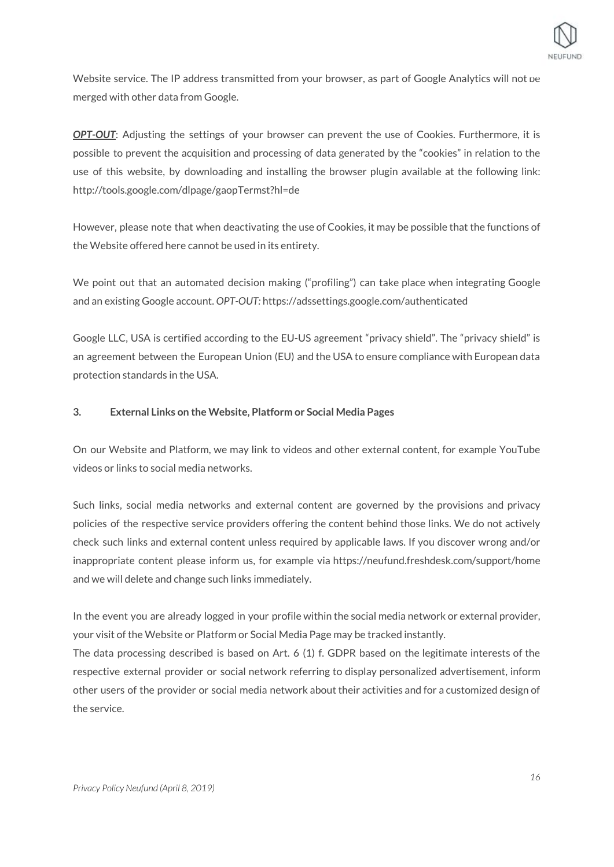

Website service. The IP address transmitted from your browser, as part of Google Analytics will not be merged with other data from Google.

*OPT-OUT*: Adjusting the settings of your browser can prevent the use of Cookies. Furthermore, it is possible to prevent the acquisition and processing of data generated by the "cookies" in relation to the use of this website, by downloading and installing the browser plugin available at the following link: http://tools.google.com/dlpage/gaopTermst?hl=de

However, please note that when deactivating the use of Cookies, it may be possible that the functions of the Website offered here cannot be used in its entirety.

We point out that an automated decision making ("profiling") can take place when integrating Google and an existing Google account. *OPT-OUT:* https://adssettings.google.com/authenticated

Google LLC, USA is certified according to the EU-US agreement "privacy shield". The "privacy shield" is an agreement between the European Union (EU) and the USA to ensure compliance with European data protection standards in the USA.

## **3. External Links on the Website, Platform or Social Media Pages**

On our Website and Platform, we may link to videos and other external content, for example YouTube videos or links to social media networks.

Such links, social media networks and external content are governed by the provisions and privacy policies of the respective service providers offering the content behind those links. We do not actively check such links and external content unless required by applicable laws. If you discover wrong and/or inappropriate content please inform us, for example via https://neufund.freshdesk.com/support/home and we will delete and change such links immediately.

In the event you are already logged in your profile within the social media network or external provider, your visit of the Website or Platform or Social Media Page may be tracked instantly. The data processing described is based on Art. 6 (1) f. GDPR based on the legitimate interests of the respective external provider or social network referring to display personalized advertisement, inform other users of the provider or social media network about their activities and for a customized design of the service.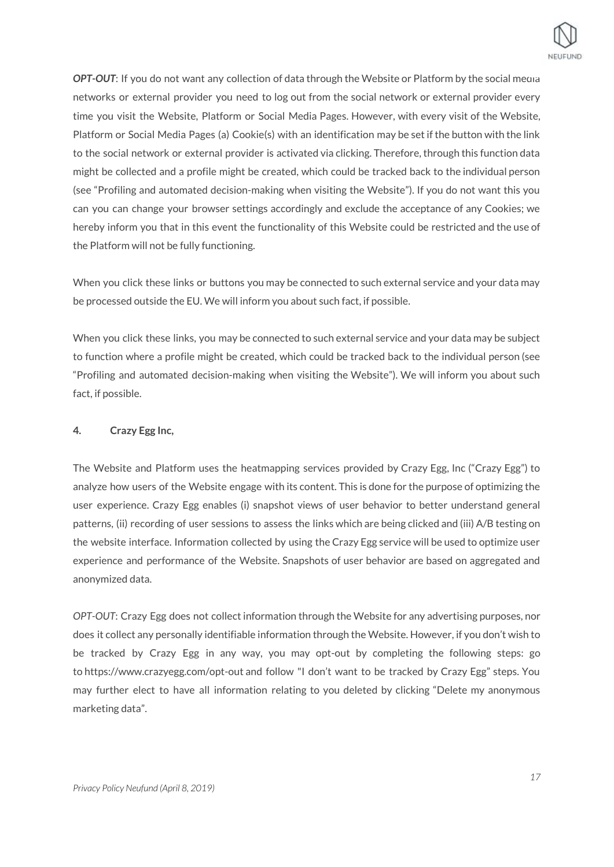

*OPT-OUT*: If you do not want any collection of data through the Website or Platform by the social media networks or external provider you need to log out from the social network or external provider every time you visit the Website, Platform or Social Media Pages. However, with every visit of the Website, Platform or Social Media Pages (a) Cookie(s) with an identification may be set if the button with the link to the social network or external provider is activated via clicking. Therefore, through this function data might be collected and a profile might be created, which could be tracked back to the individual person (see "Profiling and automated decision-making when visiting the Website"). If you do not want this you can you can change your browser settings accordingly and exclude the acceptance of any Cookies; we hereby inform you that in this event the functionality of this Website could be restricted and the use of the Platform will not be fully functioning.

When you click these links or buttons you may be connected to such external service and your data may be processed outside the EU. We will inform you about such fact, if possible.

When you click these links, you may be connected to such external service and your data may be subject to function where a profile might be created, which could be tracked back to the individual person (see "Profiling and automated decision-making when visiting the Website"). We will inform you about such fact, if possible.

## **4. Crazy Egg Inc,**

The Website and Platform uses the heatmapping services provided by Crazy Egg, Inc ("Crazy Egg") to analyze how users of the Website engage with its content. This is done for the purpose of optimizing the user experience. Crazy Egg enables (i) snapshot views of user behavior to better understand general patterns, (ii) recording of user sessions to assess the links which are being clicked and (iii) A/B testing on the website interface. Information collected by using the Crazy Egg service will be used to optimize user experience and performance of the Website. Snapshots of user behavior are based on aggregated and anonymized data.

*OPT-OUT*: Crazy Egg does not collect information through the Website for any advertising purposes, nor does it collect any personally identifiable information through the Website. However, if you don't wish to be tracked by Crazy Egg in any way, you may opt-out by completing the following steps: go to <https://www.crazyegg.com/opt-out> and follow "I don't want to be tracked by Crazy Egg" steps. You may further elect to have all information relating to you deleted by clicking "Delete my anonymous marketing data".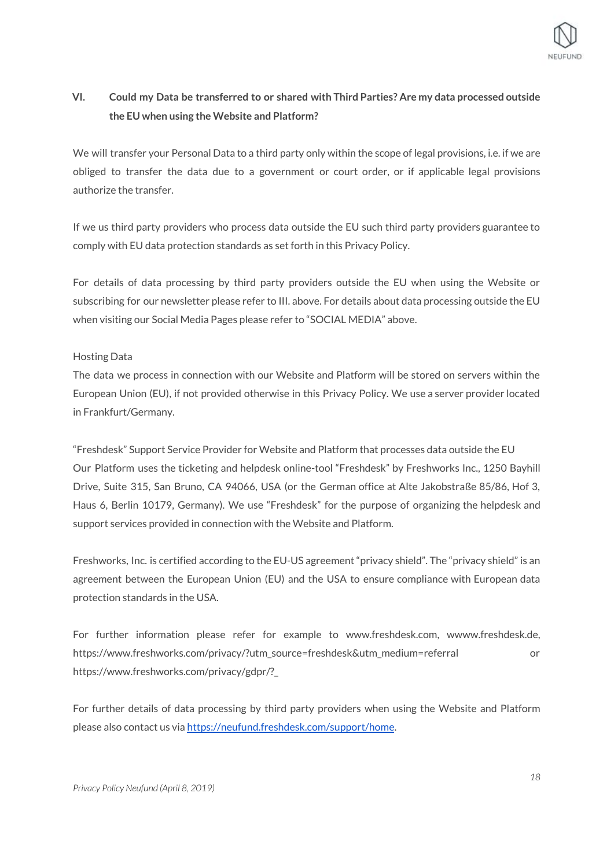

## **VI. Could my Data be transferred to or shared with Third Parties? Are my data processed outside the EU when using the Website and Platform?**

We will transfer your Personal Data to a third party only within the scope of legal provisions, i.e. if we are obliged to transfer the data due to a government or court order, or if applicable legal provisions authorize the transfer.

If we us third party providers who process data outside the EU such third party providers guarantee to comply with EU data protection standards as set forth in this Privacy Policy.

For details of data processing by third party providers outside the EU when using the Website or subscribing for our newsletter please refer to III. above. For details about data processing outside the EU when visiting our Social Media Pages please refer to "SOCIAL MEDIA" above.

## Hosting Data

The data we process in connection with our Website and Platform will be stored on servers within the European Union (EU), if not provided otherwise in this Privacy Policy. We use a server provider located in Frankfurt/Germany.

"Freshdesk" Support Service Provider for Website and Platform that processes data outside the EU Our Platform uses the ticketing and helpdesk online-tool "Freshdesk" by Freshworks Inc., 1250 Bayhill Drive, Suite 315, San Bruno, CA 94066, USA (or the German office at Alte Jakobstraße 85/86, Hof 3, Haus 6, Berlin 10179, Germany). We use "Freshdesk" for the purpose of organizing the helpdesk and support services provided in connection with the Website and Platform.

Freshworks, Inc. is certified according to the EU-US agreement "privacy shield". The "privacy shield" is an agreement between the European Union (EU) and the USA to ensure compliance with European data protection standards in the USA.

For further information please refer for example to www.freshdesk.com, wwww.freshdesk.de, https://www.freshworks.com/privacy/?utm\_source=freshdesk&utm\_medium=referral or https://www.freshworks.com/privacy/gdpr/?\_

For further details of data processing by third party providers when using the Website and Platform please also contact us via <https://neufund.freshdesk.com/support/home>.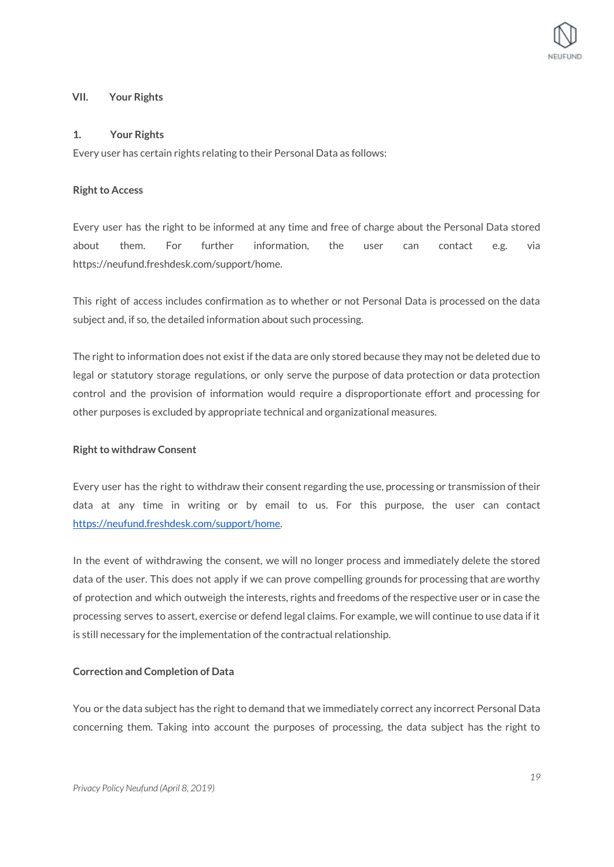## **VII. Your Rights**

## **1. Your Rights**

Every user has certain rights relating to their Personal Data as follows:

## **Right to Access**

Every user has the right to be informed at any time and free of charge about the Personal Data stored about them. For further information, the user can contact e.g. via https://neufund.freshdesk.com/support/home.

This right of access includes confirmation as to whether or not Personal Data is processed on the data subject and, if so, the detailed information about such processing.

The right to information does not exist if the data are only stored because they may not be deleted due to legal or statutory storage regulations, or only serve the purpose of data protection or data protection control and the provision of information would require a disproportionate effort and processing for other purposes is excluded by appropriate technical and organizational measures.

## **Right to withdraw Consent**

Every user has the right to withdraw their consent regarding the use, processing or transmission of their data at any time in writing or by email to us. For this purpose, the user can contact <https://neufund.freshdesk.com/support/home>.

In the event of withdrawing the consent, we will no longer process and immediately delete the stored data of the user. This does not apply if we can prove compelling grounds for processing that are worthy of protection and which outweigh the interests, rights and freedoms of the respective user or in case the processing serves to assert, exercise or defend legal claims. For example, we will continue to use data if it is still necessary for the implementation of the contractual relationship.

## **Correction and Completion of Data**

You or the data subject has the right to demand that we immediately correct any incorrect Personal Data concerning them. Taking into account the purposes of processing, the data subject has the right to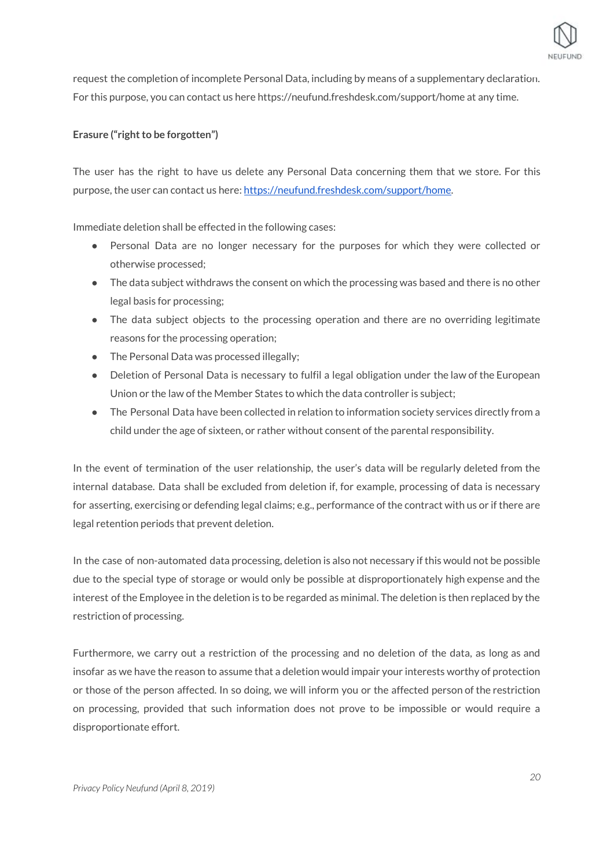

request the completion of incomplete Personal Data, including by means of a supplementary declaration. For this purpose, you can contact us here https://neufund.freshdesk.com/support/home at any time.

## **Erasure** ("right to be forgotten")

The user has the right to have us delete any Personal Data concerning them that we store. For this purpose, the user can contact us here: <https://neufund.freshdesk.com/support/home>.

Immediate deletion shall be effected in the following cases:

- Personal Data are no longer necessary for the purposes for which they were collected or otherwise processed;
- $\bullet$  The data subject withdraws the consent on which the processing was based and there is no other legal basis for processing;
- The data subject objects to the processing operation and there are no overriding legitimate reasons for the processing operation;
- The Personal Data was processed illegally;
- Deletion of Personal Data is necessary to fulfil a legal obligation under the law of the European Union or the law of the Member States to which the data controller is subject;
- The Personal Data have been collected in relation to information society services directly from a child under the age of sixteen, or rather without consent of the parental responsibility.

In the event of termination of the user relationship, the user's data will be regularly deleted from the internal database. Data shall be excluded from deletion if, for example, processing of data is necessary for asserting, exercising or defending legal claims; e.g., performance of the contract with us or if there are legal retention periods that prevent deletion.

In the case of non-automated data processing, deletion is also not necessary if this would not be possible due to the special type of storage or would only be possible at disproportionately high expense and the interest of the Employee in the deletion is to be regarded as minimal. The deletion is then replaced by the restriction of processing.

Furthermore, we carry out a restriction of the processing and no deletion of the data, as long as and insofar as we have the reason to assume that a deletion would impair your interests worthy of protection or those of the person affected. In so doing, we will inform you or the affected person of the restriction on processing, provided that such information does not prove to be impossible or would require a disproportionate effort.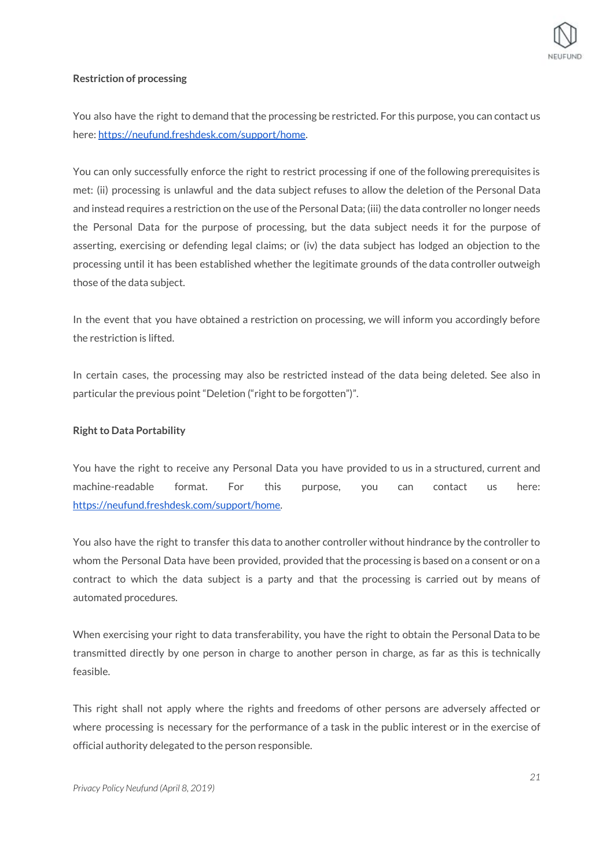

#### **Restriction of processing**

You also have the right to demand that the processing be restricted. For this purpose, you can contact us here: <https://neufund.freshdesk.com/support/home>.

You can only successfully enforce the right to restrict processing if one of the following prerequisites is met: (ii) processing is unlawful and the data subject refuses to allow the deletion of the Personal Data and instead requires a restriction on the use of the Personal Data; (iii) the data controller no longer needs the Personal Data for the purpose of processing, but the data subject needs it for the purpose of asserting, exercising or defending legal claims; or (iv) the data subject has lodged an objection to the processing until it has been established whether the legitimate grounds of the data controller outweigh those of the data subject.

In the event that you have obtained a restriction on processing, we will inform you accordingly before the restriction is lifted.

In certain cases, the processing may also be restricted instead of the data being deleted. See also in particular the previous point "Deletion ("right to be forgotten")".

#### **Right to Data Portability**

You have the right to receive any Personal Data you have provided to us in a structured, current and machine-readable format. For this purpose, you can contact us here: <https://neufund.freshdesk.com/support/home>.

You also have the right to transfer this data to another controller without hindrance by the controller to whom the Personal Data have been provided, provided that the processing is based on a consent or on a contract to which the data subject is a party and that the processing is carried out by means of automated procedures.

When exercising your right to data transferability, you have the right to obtain the Personal Data to be transmitted directly by one person in charge to another person in charge, as far as this is technically feasible.

This right shall not apply where the rights and freedoms of other persons are adversely affected or where processing is necessary for the performance of a task in the public interest or in the exercise of official authority delegated to the person responsible.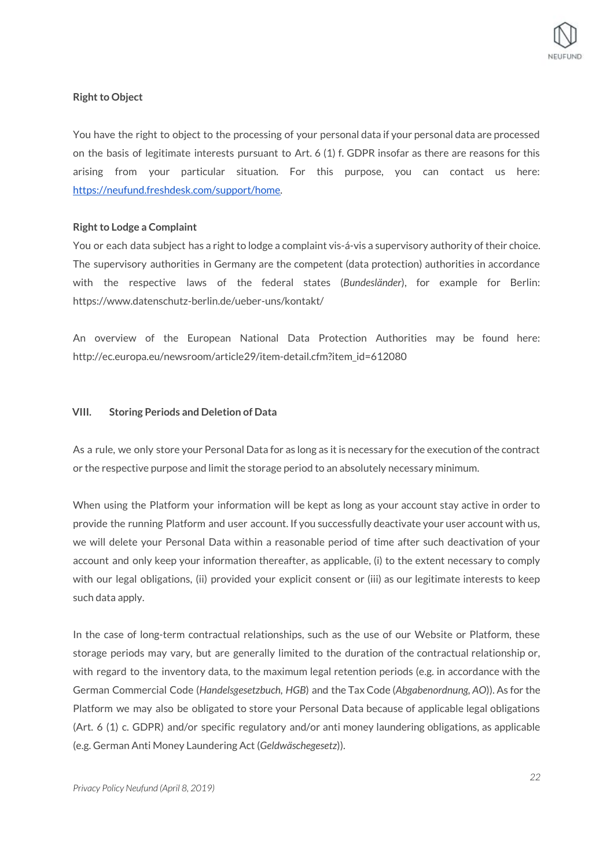## **Right to Object**

You have the right to object to the processing of your personal data if your personal data are processed on the basis of legitimate interests pursuant to Art. 6 (1) f. GDPR insofar as there are reasons for this arising from your particular situation. For this purpose, you can contact us here: <https://neufund.freshdesk.com/support/home>.

## **Right to Lodge a Complaint**

You or each data subject has a right to lodge a complaint vis-á-vis a supervisory authority of their choice. The supervisory authorities in Germany are the competent (data protection) authorities in accordance with the respective laws of the federal states (*Bundesländer*), for example for Berlin: https://www.datenschutz-berlin.de/ueber-uns/kontakt/

An overview of the European National Data Protection Authorities may be found here: http://ec.europa.eu/newsroom/article29/item-detail.cfm?item\_id=612080

#### **VIII. Storing Periods and Deletion of Data**

As a rule, we only store your Personal Data for as long as it is necessary for the execution of the contract or the respective purpose and limit the storage period to an absolutely necessary minimum.

When using the Platform your information will be kept as long as your account stay active in order to provide the running Platform and user account. If you successfully deactivate your user account with us, we will delete your Personal Data within a reasonable period of time after such deactivation of your account and only keep your information thereafter, as applicable, (i) to the extent necessary to comply with our legal obligations, (ii) provided your explicit consent or (iii) as our legitimate interests to keep such data apply.

In the case of long-term contractual relationships, such as the use of our Website or Platform, these storage periods may vary, but are generally limited to the duration of the contractual relationship or, with regard to the inventory data, to the maximum legal retention periods (e.g. in accordance with the German Commercial Code (*Handelsgesetzbuch, HGB*) and the Tax Code (*Abgabenordnung, AO*)). As for the Platform we may also be obligated to store your Personal Data because of applicable legal obligations (Art. 6 (1) c. GDPR) and/or specific regulatory and/or anti money laundering obligations, as applicable (e.g. German Anti Money Laundering Act (*Geldwäschegesetz*)).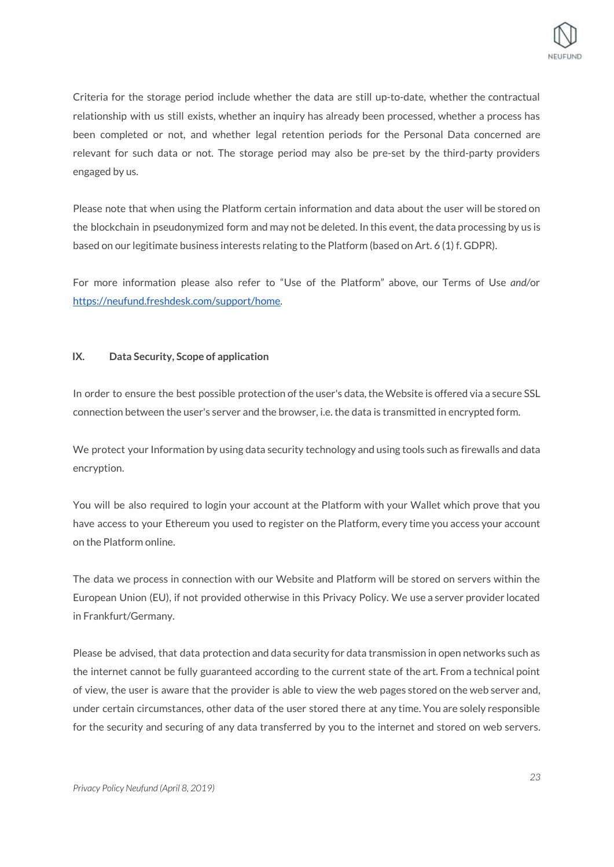

Criteria for the storage period include whether the data are still up-to-date, whether the contractual relationship with us still exists, whether an inquiry has already been processed, whether a process has been completed or not, and whether legal retention periods for the Personal Data concerned are relevant for such data or not. The storage period may also be pre-set by the third-party providers engaged by us.

Please note that when using the Platform certain information and data about the user will be stored on the blockchain in pseudonymized form and may not be deleted. In this event, the data processing by us is based on our legitimate business interests relating to the Platform (based on Art. 6 (1) f. GDPR).

For more information please also refer to "Use of the Platform" above, our Terms of Use *and/*or <https://neufund.freshdesk.com/support/home>.

## **IX. Data Security, Scope of application**

In order to ensure the best possible protection of the user's data, the Website is offered via a secure SSL connection between the user's server and the browser, i.e. the data is transmitted in encrypted form.

We protect your Information by using data security technology and using tools such as firewalls and data encryption.

You will be also required to login your account at the Platform with your Wallet which prove that you have access to your Ethereum you used to register on the Platform, every time you access your account on the Platform online.

The data we process in connection with our Website and Platform will be stored on servers within the European Union (EU), if not provided otherwise in this Privacy Policy. We use a server provider located in Frankfurt/Germany.

Please be advised, that data protection and data security for data transmission in open networks such as the internet cannot be fully guaranteed according to the current state of the art. From a technical point of view, the user is aware that the provider is able to view the web pages stored on the web server and, under certain circumstances, other data of the user stored there at any time. You are solely responsible for the security and securing of any data transferred by you to the internet and stored on web servers.